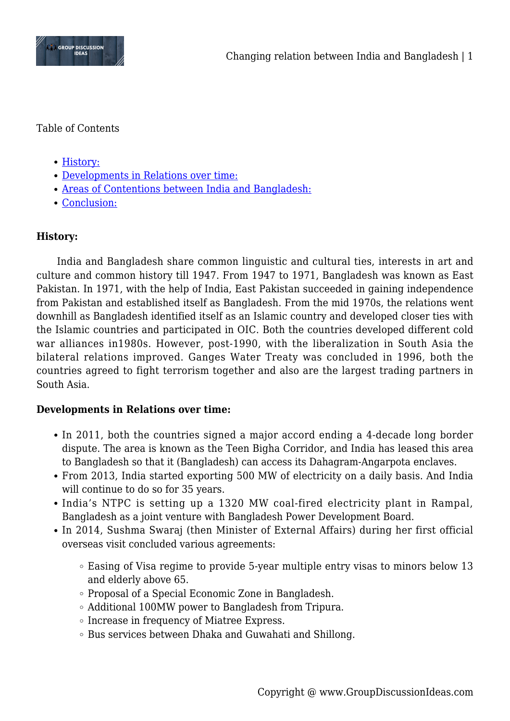

Table of Contents

- [History:](#page--1-0)
- [Developments in Relations over time:](#page--1-0)
- [Areas of Contentions between India and Bangladesh:](#page--1-0)
- [Conclusion:](#page--1-0)

# **History:**

India and Bangladesh share common linguistic and cultural ties, interests in art and culture and common history till 1947. From 1947 to 1971, Bangladesh was known as East Pakistan. In 1971, with the help of India, East Pakistan succeeded in gaining independence from Pakistan and established itself as Bangladesh. From the mid 1970s, the relations went downhill as Bangladesh identified itself as an Islamic country and developed closer ties with the Islamic countries and participated in OIC. Both the countries developed different cold war alliances in1980s. However, post-1990, with the liberalization in South Asia the bilateral relations improved. Ganges Water Treaty was concluded in 1996, both the countries agreed to fight terrorism together and also are the largest trading partners in South Asia.

## **Developments in Relations over time:**

- In 2011, both the countries signed a major accord ending a 4-decade long border dispute. The area is known as the Teen Bigha Corridor, and India has leased this area to Bangladesh so that it (Bangladesh) can access its Dahagram-Angarpota enclaves.
- From 2013, India started exporting 500 MW of electricity on a daily basis. And India will continue to do so for 35 years.
- India's NTPC is setting up a 1320 MW coal-fired electricity plant in Rampal, Bangladesh as a joint venture with Bangladesh Power Development Board.
- In 2014, Sushma Swaraj (then Minister of External Affairs) during her first official overseas visit concluded various agreements:
	- Easing of Visa regime to provide 5-year multiple entry visas to minors below 13 and elderly above 65.
	- Proposal of a Special Economic Zone in Bangladesh.
	- Additional 100MW power to Bangladesh from Tripura.
	- Increase in frequency of Miatree Express.
	- Bus services between Dhaka and Guwahati and Shillong.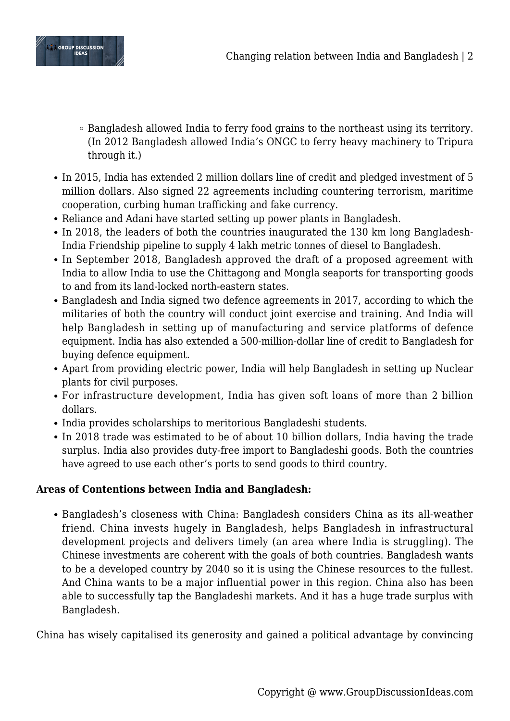

- Bangladesh allowed India to ferry food grains to the northeast using its territory. (In 2012 Bangladesh allowed India's ONGC to ferry heavy machinery to Tripura through it.)
- In 2015, India has extended 2 million dollars line of credit and pledged investment of 5 million dollars. Also signed 22 agreements including countering terrorism, maritime cooperation, curbing human trafficking and fake currency.
- Reliance and Adani have started setting up power plants in Bangladesh.
- In 2018, the leaders of both the countries inaugurated the 130 km long Bangladesh-India Friendship pipeline to supply 4 lakh metric tonnes of diesel to Bangladesh.
- In September 2018, Bangladesh approved the draft of a proposed agreement with India to allow India to use the Chittagong and Mongla seaports for transporting goods to and from its land-locked north-eastern states.
- Bangladesh and India signed two defence agreements in 2017, according to which the militaries of both the country will conduct joint exercise and training. And India will help Bangladesh in setting up of manufacturing and service platforms of defence equipment. India has also extended a 500-million-dollar line of credit to Bangladesh for buying defence equipment.
- Apart from providing electric power, India will help Bangladesh in setting up Nuclear plants for civil purposes.
- For infrastructure development, India has given soft loans of more than 2 billion dollars.
- India provides scholarships to meritorious Bangladeshi students.
- In 2018 trade was estimated to be of about 10 billion dollars, India having the trade surplus. India also provides duty-free import to Bangladeshi goods. Both the countries have agreed to use each other's ports to send goods to third country.

## **Areas of Contentions between India and Bangladesh:**

Bangladesh's closeness with China: Bangladesh considers China as its all-weather friend. China invests hugely in Bangladesh, helps Bangladesh in infrastructural development projects and delivers timely (an area where India is struggling). The Chinese investments are coherent with the goals of both countries. Bangladesh wants to be a developed country by 2040 so it is using the Chinese resources to the fullest. And China wants to be a major influential power in this region. China also has been able to successfully tap the Bangladeshi markets. And it has a huge trade surplus with Bangladesh.

China has wisely capitalised its generosity and gained a political advantage by convincing